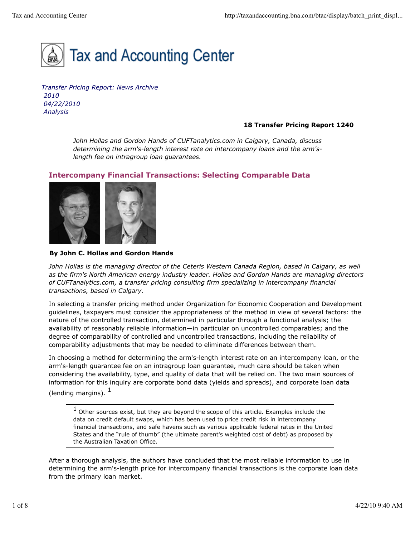

*Transfer Pricing Report: News Archive 2010 04/22/2010 Analysis*

## **18 Transfer Pricing Report 1240**

*John Hollas and Gordon Hands of CUFTanalytics.com in Calgary, Canada, discuss determining the arm's-length interest rate on intercompany loans and the arm'slength fee on intragroup loan guarantees.*

# **Intercompany Financial Transactions: Selecting Comparable Data**



## **By John C. Hollas and Gordon Hands**

*John Hollas is the managing director of the Ceteris Western Canada Region, based in Calgary, as well as the firm's North American energy industry leader. Hollas and Gordon Hands are managing directors of CUFTanalytics.com, a transfer pricing consulting firm specializing in intercompany financial transactions, based in Calgary.*

In selecting a transfer pricing method under Organization for Economic Cooperation and Development guidelines, taxpayers must consider the appropriateness of the method in view of several factors: the nature of the controlled transaction, determined in particular through a functional analysis; the availability of reasonably reliable information—in particular on uncontrolled comparables; and the degree of comparability of controlled and uncontrolled transactions, including the reliability of comparability adjustments that may be needed to eliminate differences between them.

In choosing a method for determining the arm's-length interest rate on an intercompany loan, or the arm's-length guarantee fee on an intragroup loan guarantee, much care should be taken when considering the availability, type, and quality of data that will be relied on. The two main sources of information for this inquiry are corporate bond data (yields and spreads), and corporate loan data (lending margins).  $<sup>1</sup>$ </sup>

 $<sup>1</sup>$  Other sources exist, but they are beyond the scope of this article. Examples include the</sup> data on credit default swaps, which has been used to price credit risk in intercompany financial transactions, and safe havens such as various applicable federal rates in the United States and the "rule of thumb" (the ultimate parent's weighted cost of debt) as proposed by the Australian Taxation Office.

After a thorough analysis, the authors have concluded that the most reliable information to use in determining the arm's-length price for intercompany financial transactions is the corporate loan data from the primary loan market.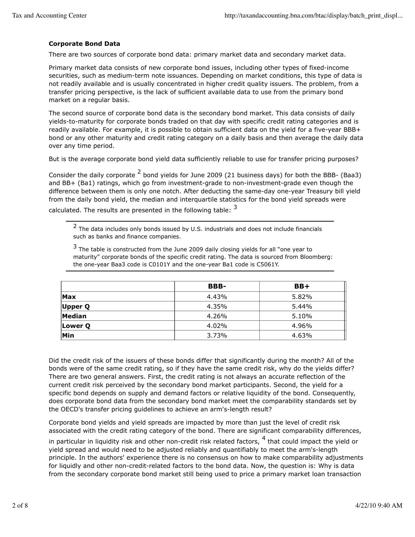## **Corporate Bond Data**

There are two sources of corporate bond data: primary market data and secondary market data.

Primary market data consists of new corporate bond issues, including other types of fixed-income securities, such as medium-term note issuances. Depending on market conditions, this type of data is not readily available and is usually concentrated in higher credit quality issuers. The problem, from a transfer pricing perspective, is the lack of sufficient available data to use from the primary bond market on a regular basis.

The second source of corporate bond data is the secondary bond market. This data consists of daily yields-to-maturity for corporate bonds traded on that day with specific credit rating categories and is readily available. For example, it is possible to obtain sufficient data on the yield for a five-year BBB+ bond or any other maturity and credit rating category on a daily basis and then average the daily data over any time period.

But is the average corporate bond yield data sufficiently reliable to use for transfer pricing purposes?

Consider the daily corporate  $^2$  bond yields for June 2009 (21 business days) for both the BBB- (Baa3) and BB+ (Ba1) ratings, which go from investment-grade to non-investment-grade even though the difference between them is only one notch. After deducting the same-day one-year Treasury bill yield from the daily bond yield, the median and interquartile statistics for the bond yield spreads were calculated. The results are presented in the following table:  $3$ 

 $2$  The data includes only bonds issued by U.S. industrials and does not include financials such as banks and finance companies.

 $3$  The table is constructed from the June 2009 daily closing yields for all "one year to maturity" corporate bonds of the specific credit rating. The data is sourced from Bloomberg: the one-year Baa3 code is C0101Y and the one-year Ba1 code is C5061Y.

|            | <b>BBB-</b> | $BB+$ |
|------------|-------------|-------|
| <b>Max</b> | 4.43%       | 5.82% |
| Upper Q    | 4.35%       | 5.44% |
| Median     | 4.26%       | 5.10% |
| Lower O    | 4.02%       | 4.96% |
| Min        | 3.73%       | 4.63% |

Did the credit risk of the issuers of these bonds differ that significantly during the month? All of the bonds were of the same credit rating, so if they have the same credit risk, why do the yields differ? There are two general answers. First, the credit rating is not always an accurate reflection of the current credit risk perceived by the secondary bond market participants. Second, the yield for a specific bond depends on supply and demand factors or relative liquidity of the bond. Consequently, does corporate bond data from the secondary bond market meet the comparability standards set by the OECD's transfer pricing guidelines to achieve an arm's-length result?

Corporate bond yields and yield spreads are impacted by more than just the level of credit risk associated with the credit rating category of the bond. There are significant comparability differences,

in particular in liquidity risk and other non-credit risk related factors,  $^4$  that could impact the yield or yield spread and would need to be adjusted reliably and quantifiably to meet the arm's-length principle. In the authors' experience there is no consensus on how to make comparability adjustments for liquidly and other non-credit-related factors to the bond data. Now, the question is: Why is data from the secondary corporate bond market still being used to price a primary market loan transaction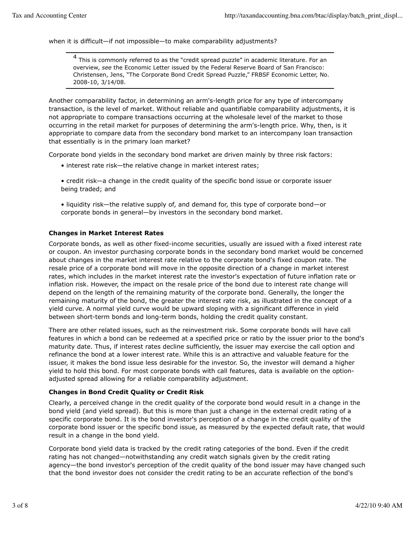when it is difficult—if not impossible—to make comparability adjustments?

4 This is commonly referred to as the "credit spread puzzle" in academic literature. For an overview, *see* the Economic Letter issued by the Federal Reserve Board of San Francisco: Christensen, Jens, "The Corporate Bond Credit Spread Puzzle," FRBSF Economic Letter, No. 2008-10, 3/14/08.

Another comparability factor, in determining an arm's-length price for any type of intercompany transaction, is the level of market. Without reliable and quantifiable comparability adjustments, it is not appropriate to compare transactions occurring at the wholesale level of the market to those occurring in the retail market for purposes of determining the arm's-length price. Why, then, is it appropriate to compare data from the secondary bond market to an intercompany loan transaction that essentially is in the primary loan market?

Corporate bond yields in the secondary bond market are driven mainly by three risk factors:

• interest rate risk—the relative change in market interest rates;

• credit risk—a change in the credit quality of the specific bond issue or corporate issuer being traded; and

• liquidity risk—the relative supply of, and demand for, this type of corporate bond—or corporate bonds in general—by investors in the secondary bond market.

## **Changes in Market Interest Rates**

Corporate bonds, as well as other fixed-income securities, usually are issued with a fixed interest rate or coupon. An investor purchasing corporate bonds in the secondary bond market would be concerned about changes in the market interest rate relative to the corporate bond's fixed coupon rate. The resale price of a corporate bond will move in the opposite direction of a change in market interest rates, which includes in the market interest rate the investor's expectation of future inflation rate or inflation risk. However, the impact on the resale price of the bond due to interest rate change will depend on the length of the remaining maturity of the corporate bond. Generally, the longer the remaining maturity of the bond, the greater the interest rate risk, as illustrated in the concept of a yield curve. A normal yield curve would be upward sloping with a significant difference in yield between short-term bonds and long-term bonds, holding the credit quality constant.

There are other related issues, such as the reinvestment risk. Some corporate bonds will have call features in which a bond can be redeemed at a specified price or ratio by the issuer prior to the bond's maturity date. Thus, if interest rates decline sufficiently, the issuer may exercise the call option and refinance the bond at a lower interest rate. While this is an attractive and valuable feature for the issuer, it makes the bond issue less desirable for the investor. So, the investor will demand a higher yield to hold this bond. For most corporate bonds with call features, data is available on the optionadjusted spread allowing for a reliable comparability adjustment.

#### **Changes in Bond Credit Quality or Credit Risk**

Clearly, a perceived change in the credit quality of the corporate bond would result in a change in the bond yield (and yield spread). But this is more than just a change in the external credit rating of a specific corporate bond. It is the bond investor's perception of a change in the credit quality of the corporate bond issuer or the specific bond issue, as measured by the expected default rate, that would result in a change in the bond yield.

Corporate bond yield data is tracked by the credit rating categories of the bond. Even if the credit rating has not changed—notwithstanding any credit watch signals given by the credit rating agency—the bond investor's perception of the credit quality of the bond issuer may have changed such that the bond investor does not consider the credit rating to be an accurate reflection of the bond's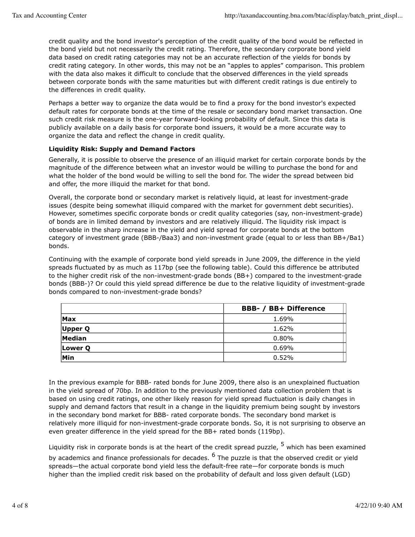credit quality and the bond investor's perception of the credit quality of the bond would be reflected in the bond yield but not necessarily the credit rating. Therefore, the secondary corporate bond yield data based on credit rating categories may not be an accurate reflection of the yields for bonds by credit rating category. In other words, this may not be an "apples to apples" comparison. This problem with the data also makes it difficult to conclude that the observed differences in the yield spreads between corporate bonds with the same maturities but with different credit ratings is due entirely to the differences in credit quality.

Perhaps a better way to organize the data would be to find a proxy for the bond investor's expected default rates for corporate bonds at the time of the resale or secondary bond market transaction. One such credit risk measure is the one-year forward-looking probability of default. Since this data is publicly available on a daily basis for corporate bond issuers, it would be a more accurate way to organize the data and reflect the change in credit quality.

## **Liquidity Risk: Supply and Demand Factors**

Generally, it is possible to observe the presence of an illiquid market for certain corporate bonds by the magnitude of the difference between what an investor would be willing to purchase the bond for and what the holder of the bond would be willing to sell the bond for. The wider the spread between bid and offer, the more illiquid the market for that bond.

Overall, the corporate bond or secondary market is relatively liquid, at least for investment-grade issues (despite being somewhat illiquid compared with the market for government debt securities). However, sometimes specific corporate bonds or credit quality categories (say, non-investment-grade) of bonds are in limited demand by investors and are relatively illiquid. The liquidity risk impact is observable in the sharp increase in the yield and yield spread for corporate bonds at the bottom category of investment grade (BBB-/Baa3) and non-investment grade (equal to or less than BB+/Ba1) bonds.

Continuing with the example of corporate bond yield spreads in June 2009, the difference in the yield spreads fluctuated by as much as 117bp (see the following table). Could this difference be attributed to the higher credit risk of the non-investment-grade bonds (BB+) compared to the investment-grade bonds (BBB-)? Or could this yield spread difference be due to the relative liquidity of investment-grade bonds compared to non-investment-grade bonds?

|            | <b>BBB- / BB+ Difference</b> |
|------------|------------------------------|
| <b>Max</b> | 1.69%                        |
| Upper Q    | 1.62%                        |
| Median     | $0.80\%$                     |
| Lower Q    | $0.69\%$                     |
| Min        | 0.52%                        |

In the previous example for BBB- rated bonds for June 2009, there also is an unexplained fluctuation in the yield spread of 70bp. In addition to the previously mentioned data collection problem that is based on using credit ratings, one other likely reason for yield spread fluctuation is daily changes in supply and demand factors that result in a change in the liquidity premium being sought by investors in the secondary bond market for BBB- rated corporate bonds. The secondary bond market is relatively more illiquid for non-investment-grade corporate bonds. So, it is not surprising to observe an even greater difference in the yield spread for the BB+ rated bonds (119bp).

Liquidity risk in corporate bonds is at the heart of the credit spread puzzle,  $^5$  which has been examined by academics and finance professionals for decades. <sup>6</sup> The puzzle is that the observed credit or yield spreads—the actual corporate bond yield less the default-free rate—for corporate bonds is much higher than the implied credit risk based on the probability of default and loss given default (LGD)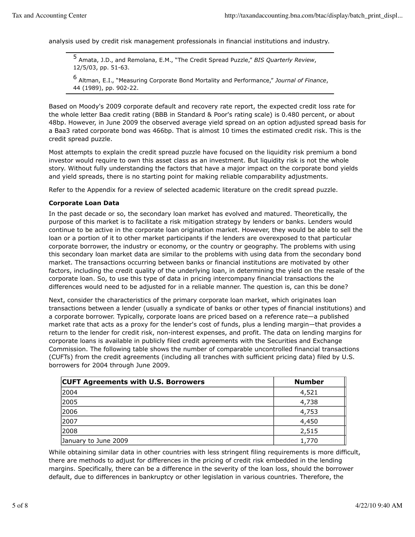analysis used by credit risk management professionals in financial institutions and industry.

5 Amata, J.D., and Remolana, E.M., "The Credit Spread Puzzle," *BIS Quarterly Review*, 12/5/03, pp. 51-63.

6 Altman, E.I., "Measuring Corporate Bond Mortality and Performance," *Journal of Finance*, 44 (1989), pp. 902-22.

Based on Moody's 2009 corporate default and recovery rate report, the expected credit loss rate for the whole letter Baa credit rating (BBB in Standard & Poor's rating scale) is 0.480 percent, or about 48bp. However, in June 2009 the observed average yield spread on an option adjusted spread basis for a Baa3 rated corporate bond was 466bp. That is almost 10 times the estimated credit risk. This is the credit spread puzzle.

Most attempts to explain the credit spread puzzle have focused on the liquidity risk premium a bond investor would require to own this asset class as an investment. But liquidity risk is not the whole story. Without fully understanding the factors that have a major impact on the corporate bond yields and yield spreads, there is no starting point for making reliable comparability adjustments.

Refer to the Appendix for a review of selected academic literature on the credit spread puzzle.

#### **Corporate Loan Data**

In the past decade or so, the secondary loan market has evolved and matured. Theoretically, the purpose of this market is to facilitate a risk mitigation strategy by lenders or banks. Lenders would continue to be active in the corporate loan origination market. However, they would be able to sell the loan or a portion of it to other market participants if the lenders are overexposed to that particular corporate borrower, the industry or economy, or the country or geography. The problems with using this secondary loan market data are similar to the problems with using data from the secondary bond market. The transactions occurring between banks or financial institutions are motivated by other factors, including the credit quality of the underlying loan, in determining the yield on the resale of the corporate loan. So, to use this type of data in pricing intercompany financial transactions the differences would need to be adjusted for in a reliable manner. The question is, can this be done?

Next, consider the characteristics of the primary corporate loan market, which originates loan transactions between a lender (usually a syndicate of banks or other types of financial institutions) and a corporate borrower. Typically, corporate loans are priced based on a reference rate—a published market rate that acts as a proxy for the lender's cost of funds, plus a lending margin—that provides a return to the lender for credit risk, non-interest expenses, and profit. The data on lending margins for corporate loans is available in publicly filed credit agreements with the Securities and Exchange Commission. The following table shows the number of comparable uncontrolled financial transactions (CUFTs) from the credit agreements (including all tranches with sufficient pricing data) filed by U.S. borrowers for 2004 through June 2009.

| <b>CUFT Agreements with U.S. Borrowers</b> | <b>Number</b> |
|--------------------------------------------|---------------|
| 2004                                       | 4,521         |
| 2005                                       | 4,738         |
| 2006                                       | 4,753         |
| 2007                                       | 4,450         |
| 2008                                       | 2,515         |
| January to June 2009                       | 1,770         |

While obtaining similar data in other countries with less stringent filing requirements is more difficult, there are methods to adjust for differences in the pricing of credit risk embedded in the lending margins. Specifically, there can be a difference in the severity of the loan loss, should the borrower default, due to differences in bankruptcy or other legislation in various countries. Therefore, the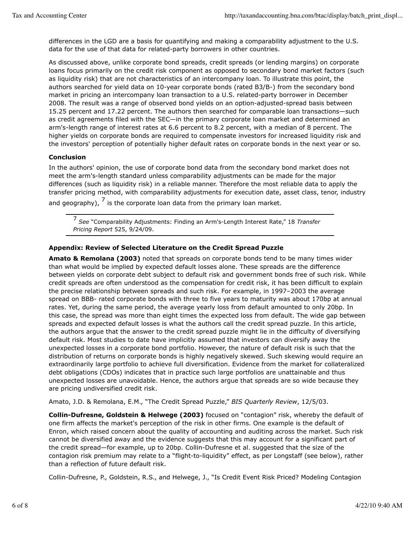differences in the LGD are a basis for quantifying and making a comparability adjustment to the U.S. data for the use of that data for related-party borrowers in other countries.

As discussed above, unlike corporate bond spreads, credit spreads (or lending margins) on corporate loans focus primarily on the credit risk component as opposed to secondary bond market factors (such as liquidity risk) that are not characteristics of an intercompany loan. To illustrate this point, the authors searched for yield data on 10-year corporate bonds (rated B3/B-) from the secondary bond market in pricing an intercompany loan transaction to a U.S. related-party borrower in December 2008. The result was a range of observed bond yields on an option-adjusted-spread basis between 15.25 percent and 17.22 percent. The authors then searched for comparable loan transactions—such as credit agreements filed with the SEC—in the primary corporate loan market and determined an arm's-length range of interest rates at 6.6 percent to 8.2 percent, with a median of 8 percent. The higher yields on corporate bonds are required to compensate investors for increased liquidity risk and the investors' perception of potentially higher default rates on corporate bonds in the next year or so.

## **Conclusion**

In the authors' opinion, the use of corporate bond data from the secondary bond market does not meet the arm's-length standard unless comparability adjustments can be made for the major differences (such as liquidity risk) in a reliable manner. Therefore the most reliable data to apply the transfer pricing method, with comparability adjustments for execution date, asset class, tenor, industry and geography),  $^7$  is the corporate loan data from the primary loan market.

<sup>7</sup> *See* "Comparability Adjustments: Finding an Arm's-Length Interest Rate," 18 *Transfer Pricing Report* 525, 9/24/09.

## **Appendix: Review of Selected Literature on the Credit Spread Puzzle**

**Amato & Remolana (2003)** noted that spreads on corporate bonds tend to be many times wider than what would be implied by expected default losses alone. These spreads are the difference between yields on corporate debt subject to default risk and government bonds free of such risk. While credit spreads are often understood as the compensation for credit risk, it has been difficult to explain the precise relationship between spreads and such risk. For example, in 1997–2003 the average spread on BBB- rated corporate bonds with three to five years to maturity was about 170bp at annual rates. Yet, during the same period, the average yearly loss from default amounted to only 20bp. In this case, the spread was more than eight times the expected loss from default. The wide gap between spreads and expected default losses is what the authors call the credit spread puzzle. In this article, the authors argue that the answer to the credit spread puzzle might lie in the difficulty of diversifying default risk. Most studies to date have implicitly assumed that investors can diversify away the unexpected losses in a corporate bond portfolio. However, the nature of default risk is such that the distribution of returns on corporate bonds is highly negatively skewed. Such skewing would require an extraordinarily large portfolio to achieve full diversification. Evidence from the market for collateralized debt obligations (CDOs) indicates that in practice such large portfolios are unattainable and thus unexpected losses are unavoidable. Hence, the authors argue that spreads are so wide because they are pricing undiversified credit risk.

Amato, J.D. & Remolana, E.M., "The Credit Spread Puzzle," *BIS Quarterly Review*, 12/5/03.

**Collin-Dufresne, Goldstein & Helwege (2003)** focused on "contagion" risk, whereby the default of one firm affects the market's perception of the risk in other firms. One example is the default of Enron, which raised concern about the quality of accounting and auditing across the market. Such risk cannot be diversified away and the evidence suggests that this may account for a significant part of the credit spread—for example, up to 20bp. Collin-Dufresne et al. suggested that the size of the contagion risk premium may relate to a "flight-to-liquidity" effect, as per Longstaff (see below), rather than a reflection of future default risk.

Collin-Dufresne, P., Goldstein, R.S., and Helwege, J., "Is Credit Event Risk Priced? Modeling Contagion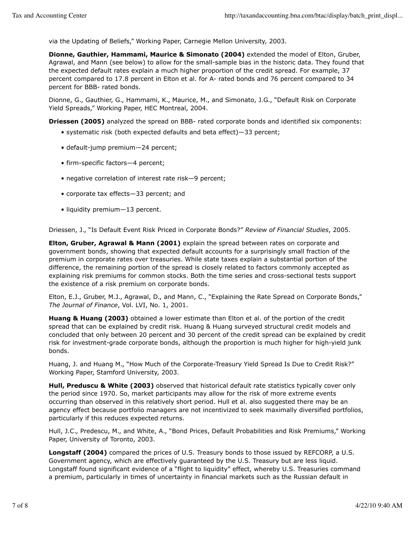via the Updating of Beliefs," Working Paper, Carnegie Mellon University, 2003.

**Dionne, Gauthier, Hammami, Maurice & Simonato (2004)** extended the model of Elton, Gruber, Agrawal, and Mann (see below) to allow for the small-sample bias in the historic data. They found that the expected default rates explain a much higher proportion of the credit spread. For example, 37 percent compared to 17.8 percent in Elton et al. for A- rated bonds and 76 percent compared to 34 percent for BBB- rated bonds.

Dionne, G., Gauthier, G., Hammami, K., Maurice, M., and Simonato, J.G., "Default Risk on Corporate Yield Spreads," Working Paper, HEC Montreal, 2004.

**Driessen (2005)** analyzed the spread on BBB- rated corporate bonds and identified six components:

- systematic risk (both expected defaults and beta effect)—33 percent;
- default-jump premium—24 percent;
- firm-specific factors—4 percent;
- negative correlation of interest rate risk—9 percent;
- corporate tax effects—33 percent; and
- liquidity premium—13 percent.

Driessen, J., "Is Default Event Risk Priced in Corporate Bonds?" *Review of Financial Studies*, 2005.

**Elton, Gruber, Agrawal & Mann (2001)** explain the spread between rates on corporate and government bonds, showing that expected default accounts for a surprisingly small fraction of the premium in corporate rates over treasuries. While state taxes explain a substantial portion of the difference, the remaining portion of the spread is closely related to factors commonly accepted as explaining risk premiums for common stocks. Both the time series and cross-sectional tests support the existence of a risk premium on corporate bonds.

Elton, E.J., Gruber, M.J., Agrawal, D., and Mann, C., "Explaining the Rate Spread on Corporate Bonds," *The Journal of Finance*, Vol. LVI, No. 1, 2001.

**Huang & Huang (2003)** obtained a lower estimate than Elton et al. of the portion of the credit spread that can be explained by credit risk. Huang & Huang surveyed structural credit models and concluded that only between 20 percent and 30 percent of the credit spread can be explained by credit risk for investment-grade corporate bonds, although the proportion is much higher for high-yield junk bonds.

Huang, J. and Huang M., "How Much of the Corporate-Treasury Yield Spread Is Due to Credit Risk?" Working Paper, Stamford University, 2003.

**Hull, Preduscu & White (2003)** observed that historical default rate statistics typically cover only the period since 1970. So, market participants may allow for the risk of more extreme events occurring than observed in this relatively short period. Hull et al. also suggested there may be an agency effect because portfolio managers are not incentivized to seek maximally diversified portfolios, particularly if this reduces expected returns.

Hull, J.C., Predescu, M., and White, A., "Bond Prices, Default Probabilities and Risk Premiums," Working Paper, University of Toronto, 2003.

**Longstaff (2004)** compared the prices of U.S. Treasury bonds to those issued by REFCORP, a U.S. Government agency, which are effectively guaranteed by the U.S. Treasury but are less liquid. Longstaff found significant evidence of a "flight to liquidity" effect, whereby U.S. Treasuries command a premium, particularly in times of uncertainty in financial markets such as the Russian default in